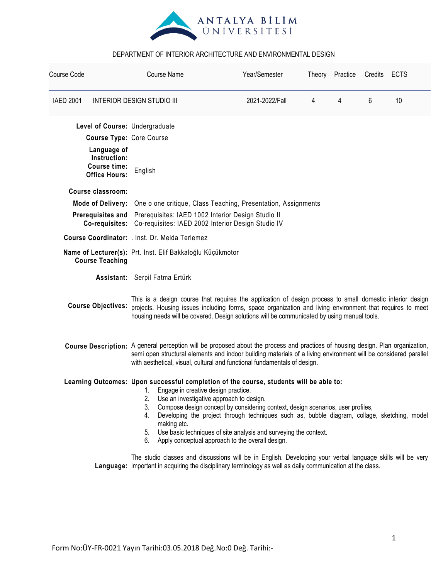

| Course Code      |                                                                            |                                                                                                                                                                                                                                                                                                                                                                                                                                                                                                                                   | <b>Course Name</b>                                            | Year/Semester                                                                                                                                                                                                            |   | Theory Practice | Credits | <b>ECTS</b> |  |
|------------------|----------------------------------------------------------------------------|-----------------------------------------------------------------------------------------------------------------------------------------------------------------------------------------------------------------------------------------------------------------------------------------------------------------------------------------------------------------------------------------------------------------------------------------------------------------------------------------------------------------------------------|---------------------------------------------------------------|--------------------------------------------------------------------------------------------------------------------------------------------------------------------------------------------------------------------------|---|-----------------|---------|-------------|--|
| <b>IAED 2001</b> | <b>INTERIOR DESIGN STUDIO III</b>                                          |                                                                                                                                                                                                                                                                                                                                                                                                                                                                                                                                   |                                                               | 2021-2022/Fall                                                                                                                                                                                                           | 4 | 4               | 6       | 10          |  |
|                  | Level of Course: Undergraduate                                             |                                                                                                                                                                                                                                                                                                                                                                                                                                                                                                                                   |                                                               |                                                                                                                                                                                                                          |   |                 |         |             |  |
|                  | <b>Course Type: Core Course</b>                                            |                                                                                                                                                                                                                                                                                                                                                                                                                                                                                                                                   |                                                               |                                                                                                                                                                                                                          |   |                 |         |             |  |
|                  | Language of<br>Instruction:<br><b>Course time:</b><br><b>Office Hours:</b> | English                                                                                                                                                                                                                                                                                                                                                                                                                                                                                                                           |                                                               |                                                                                                                                                                                                                          |   |                 |         |             |  |
|                  | Course classroom:                                                          |                                                                                                                                                                                                                                                                                                                                                                                                                                                                                                                                   |                                                               |                                                                                                                                                                                                                          |   |                 |         |             |  |
|                  | <b>Mode of Delivery:</b>                                                   |                                                                                                                                                                                                                                                                                                                                                                                                                                                                                                                                   | One o one critique, Class Teaching, Presentation, Assignments |                                                                                                                                                                                                                          |   |                 |         |             |  |
|                  | <b>Prerequisites and</b><br>Co-requisites:                                 |                                                                                                                                                                                                                                                                                                                                                                                                                                                                                                                                   |                                                               | Prerequisites: IAED 1002 Interior Design Studio II<br>Co-requisites: IAED 2002 Interior Design Studio IV                                                                                                                 |   |                 |         |             |  |
|                  |                                                                            |                                                                                                                                                                                                                                                                                                                                                                                                                                                                                                                                   | Course Coordinator: . Inst. Dr. Melda Terlemez                |                                                                                                                                                                                                                          |   |                 |         |             |  |
|                  | <b>Course Teaching</b>                                                     |                                                                                                                                                                                                                                                                                                                                                                                                                                                                                                                                   | Name of Lecturer(s): Prt. Inst. Elif Bakkaloğlu Küçükmotor    |                                                                                                                                                                                                                          |   |                 |         |             |  |
|                  |                                                                            |                                                                                                                                                                                                                                                                                                                                                                                                                                                                                                                                   | Assistant: Serpil Fatma Ertürk                                |                                                                                                                                                                                                                          |   |                 |         |             |  |
|                  | <b>Course Objectives:</b>                                                  | This is a design course that requires the application of design process to small domestic interior design<br>projects. Housing issues including forms, space organization and living environment that requires to meet<br>housing needs will be covered. Design solutions will be communicated by using manual tools.                                                                                                                                                                                                             |                                                               |                                                                                                                                                                                                                          |   |                 |         |             |  |
|                  |                                                                            | Course Description: A general perception will be proposed about the process and practices of housing design. Plan organization,<br>semi open structural elements and indoor building materials of a living environment will be considered parallel<br>with aesthetical, visual, cultural and functional fundamentals of design.                                                                                                                                                                                                   |                                                               |                                                                                                                                                                                                                          |   |                 |         |             |  |
|                  |                                                                            | Learning Outcomes: Upon successful completion of the course, students will be able to:<br>Engage in creative design practice.<br>1.<br>Use an investigative approach to design.<br>2.<br>3.<br>Compose design concept by considering context, design scenarios, user profiles,<br>Developing the project through techniques such as, bubble diagram, collage, sketching, model<br>4.<br>making etc.<br>5. Use basic techniques of site analysis and surveying the context.<br>6. Apply conceptual approach to the overall design. |                                                               |                                                                                                                                                                                                                          |   |                 |         |             |  |
|                  |                                                                            |                                                                                                                                                                                                                                                                                                                                                                                                                                                                                                                                   |                                                               | The studio classes and discussions will be in English. Developing your verbal language skills will be very<br>Language: important in acquiring the disciplinary terminology as well as daily communication at the class. |   |                 |         |             |  |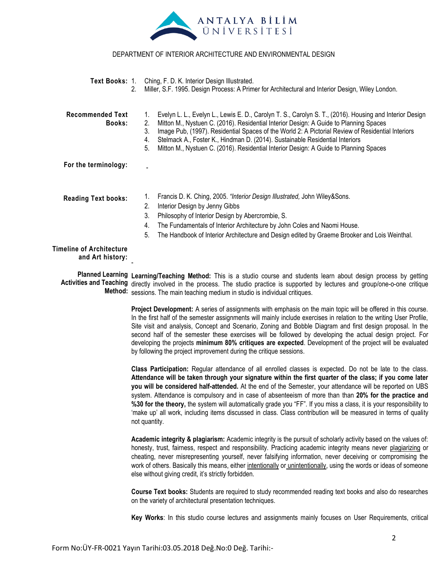

| 2.                                                  | Text Books: 1. Ching, F. D. K. Interior Design Illustrated.<br>Miller, S.F. 1995. Design Process: A Primer for Architectural and Interior Design, Wiley London.                                                                                                                                                                                                                                                                                                                                              |  |  |  |  |
|-----------------------------------------------------|--------------------------------------------------------------------------------------------------------------------------------------------------------------------------------------------------------------------------------------------------------------------------------------------------------------------------------------------------------------------------------------------------------------------------------------------------------------------------------------------------------------|--|--|--|--|
| <b>Recommended Text</b><br>Books:                   | Evelyn L. L., Evelyn L., Lewis E. D., Carolyn T. S., Carolyn S. T., (2016). Housing and Interior Design<br>1.<br>Mitton M., Nystuen C. (2016). Residential Interior Design: A Guide to Planning Spaces<br>2.<br>Image Pub, (1997). Residential Spaces of the World 2: A Pictorial Review of Residential Interiors<br>3.<br>Stelmack A., Foster K., Hindman D. (2014). Sustainable Residential Interiors<br>4.<br>5.<br>Mitton M., Nystuen C. (2016). Residential Interior Design: A Guide to Planning Spaces |  |  |  |  |
| For the terminology:                                |                                                                                                                                                                                                                                                                                                                                                                                                                                                                                                              |  |  |  |  |
| <b>Reading Text books:</b>                          | Francis D. K. Ching, 2005. "Interior Design Illustrated, John Wiley&Sons.<br>1.<br>2.<br>Interior Design by Jenny Gibbs<br>3.<br>Philosophy of Interior Design by Abercrombie, S.<br>4.<br>The Fundamentals of Interior Architecture by John Coles and Naomi House.<br>5.<br>The Handbook of Interior Architecture and Design edited by Graeme Brooker and Lois Weinthal.                                                                                                                                    |  |  |  |  |
| <b>Timeline of Architecture</b><br>and Art history: |                                                                                                                                                                                                                                                                                                                                                                                                                                                                                                              |  |  |  |  |

Planned Learning Learning/Teaching Method: This is a studio course and students learn about design process by getting Activities and Teaching directly involved in the process. The studio practice is supported by lectures and group/one-o-one critique **Method:** sessions. The main teaching medium in studio is individual critiques.

> **Project Development:** A series of assignments with emphasis on the main topic will be offered in this course. In the first half of the semester assignments will mainly include exercises in relation to the writing User Profile, Site visit and analysis, Concept and Scenario, Zoning and Bobble Diagram and first design proposal. In the second half of the semester these exercises will be followed by developing the actual design project. For developing the projects **minimum 80% critiques are expected**. Development of the project will be evaluated by following the project improvement during the critique sessions.

> **Class Participation:** Regular attendance of all enrolled classes is expected. Do not be late to the class. **Attendance will be taken through your signature within the first quarter of the class; if you come later you will be considered half-attended.** At the end of the Semester, your attendance will be reported on UBS system. Attendance is compulsory and in case of absenteeism of more than than **20% for the practice and %30 for the theory,** the system will automatically grade you "FF". If you miss a class, it is your responsibility to "make up" all work, including items discussed in class. Class contribution will be measured in terms of quality not quantity.

> **Academic integrity & plagiarism:** Academic integrity is the pursuit of scholarly activity based on the values of: honesty, trust, fairness, respect and responsibility. Practicing academic integrity means never plagiarizing or cheating, never misrepresenting yourself, never falsifying information, never deceiving or compromising the work of others. Basically this means, either intentionally or unintentionally, using the words or ideas of someone else without giving credit, it"s strictly forbidden.

> **Course Text books:** Students are required to study recommended reading text books and also do researches on the variety of architectural presentation techniques.

> **Key Works**: In this studio course lectures and assignments mainly focuses on User Requirements, critical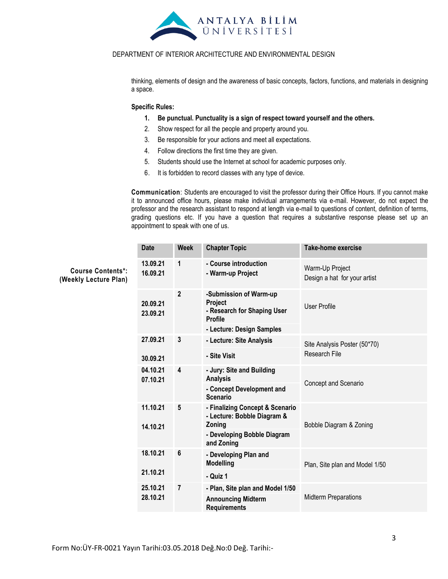

thinking, elements of design and the awareness of basic concepts, factors, functions, and materials in designing a space.

#### **Specific Rules:**

- **1. Be punctual. Punctuality is a sign of respect toward yourself and the others.**
- 2. Show respect for all the people and property around you.
- 3. Be responsible for your actions and meet all expectations.
- 4. Follow directions the first time they are given.
- 5. Students should use the Internet at school for academic purposes only.
- 6. It is forbidden to record classes with any type of device.

**Communication**: Students are encouraged to visit the professor during their Office Hours. If you cannot make it to announced office hours, please make individual arrangements via e-mail. However, do not expect the professor and the research assistant to respond at length via e-mail to questions of content, definition of terms, grading questions etc. If you have a question that requires a substantive response please set up an appointment to speak with one of us.

|                                                   | <b>Date</b>          | <b>Week</b>    | <b>Chapter Topic</b>                                                               | <b>Take-home exercise</b>                       |
|---------------------------------------------------|----------------------|----------------|------------------------------------------------------------------------------------|-------------------------------------------------|
| <b>Course Contents*:</b><br>(Weekly Lecture Plan) | 13.09.21<br>16.09.21 | 1              | - Course introduction<br>- Warm-up Project                                         | Warm-Up Project<br>Design a hat for your artist |
|                                                   | 20.09.21<br>23.09.21 | $\mathbf{2}$   | -Submission of Warm-up<br>Project<br>- Research for Shaping User<br><b>Profile</b> | <b>User Profile</b>                             |
|                                                   |                      |                | - Lecture: Design Samples                                                          |                                                 |
|                                                   | 27.09.21             | 3              | - Lecture: Site Analysis                                                           | Site Analysis Poster (50*70)                    |
|                                                   | 30.09.21             |                | - Site Visit                                                                       | <b>Research File</b>                            |
|                                                   | 04.10.21<br>07.10.21 | 4              | - Jury: Site and Building<br><b>Analysis</b><br>- Concept Development and          | Concept and Scenario                            |
|                                                   |                      |                | <b>Scenario</b>                                                                    |                                                 |
|                                                   | 11.10.21<br>14.10.21 | 5              | - Finalizing Concept & Scenario<br>- Lecture: Bobble Diagram &<br>Zoning           | Bobble Diagram & Zoning                         |
|                                                   |                      |                | - Developing Bobble Diagram<br>and Zoning                                          |                                                 |
|                                                   | 18.10.21             | 6              | - Developing Plan and<br><b>Modelling</b>                                          | Plan, Site plan and Model 1/50                  |
|                                                   | 21.10.21             |                | - Quiz 1                                                                           |                                                 |
|                                                   | 25.10.21             | $\overline{7}$ | - Plan, Site plan and Model 1/50                                                   |                                                 |
|                                                   | 28.10.21             |                | <b>Announcing Midterm</b><br><b>Requirements</b>                                   | <b>Midterm Preparations</b>                     |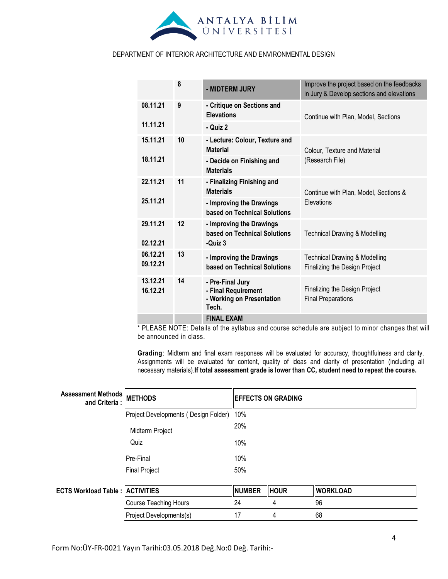

|                      | 8  |                                                                               | Improve the project based on the feedbacks                                |  |
|----------------------|----|-------------------------------------------------------------------------------|---------------------------------------------------------------------------|--|
|                      |    | - MIDTERM JURY                                                                | in Jury & Develop sections and elevations                                 |  |
| 08.11.21             | 9  | - Critique on Sections and<br><b>Elevations</b>                               | Continue with Plan, Model, Sections                                       |  |
| 11.11.21             |    | - Quiz 2                                                                      |                                                                           |  |
| 15.11.21             | 10 | - Lecture: Colour, Texture and<br><b>Material</b>                             | Colour. Texture and Material                                              |  |
| 18.11.21             |    | - Decide on Finishing and<br><b>Materials</b>                                 | (Research File)                                                           |  |
| 22.11.21             | 11 | - Finalizing Finishing and<br><b>Materials</b>                                | Continue with Plan, Model, Sections &                                     |  |
| 25.11.21             |    | - Improving the Drawings<br>based on Technical Solutions                      | <b>Elevations</b>                                                         |  |
| 29.11.21<br>02.12.21 | 12 | - Improving the Drawings<br>based on Technical Solutions<br>-Quiz 3           | <b>Technical Drawing &amp; Modelling</b>                                  |  |
| 06.12.21<br>09.12.21 | 13 | - Improving the Drawings<br>based on Technical Solutions                      | <b>Technical Drawing &amp; Modelling</b><br>Finalizing the Design Project |  |
| 13.12.21<br>16.12.21 | 14 | - Pre-Final Jury<br>- Final Requirement<br>- Working on Presentation<br>Tech. | Finalizing the Design Project<br><b>Final Preparations</b>                |  |
|                      |    | <b>FINAL EXAM</b>                                                             |                                                                           |  |

\* PLEASE NOTE: Details of the syllabus and course schedule are subject to minor changes that will be announced in class.

**Grading**: Midterm and final exam responses will be evaluated for accuracy, thoughtfulness and clarity. Assignments will be evaluated for content, quality of ideas and clarity of presentation (including all necessary materials).**If total assessment grade is lower than CC, student need to repeat the course.**

| Assessment Methods METHODS<br>and Criteria : |                                      | <b>EFFECTS ON GRADING</b> |             |                 |  |
|----------------------------------------------|--------------------------------------|---------------------------|-------------|-----------------|--|
|                                              | Project Developments (Design Folder) | 10%                       |             |                 |  |
| Midterm Project                              |                                      | 20%                       |             |                 |  |
|                                              | Quiz                                 | 10%                       |             |                 |  |
|                                              | Pre-Final                            | 10%                       |             |                 |  |
|                                              | <b>Final Project</b>                 | 50%                       |             |                 |  |
| <b>ECTS Workload Table: ACTIVITIES</b>       |                                      | <b>NUMBER</b>             | <b>HOUR</b> | <b>WORKLOAD</b> |  |
|                                              | <b>Course Teaching Hours</b>         | 24                        | 4           | 96              |  |
|                                              | Project Developments(s)              | 17                        | 4           | 68              |  |